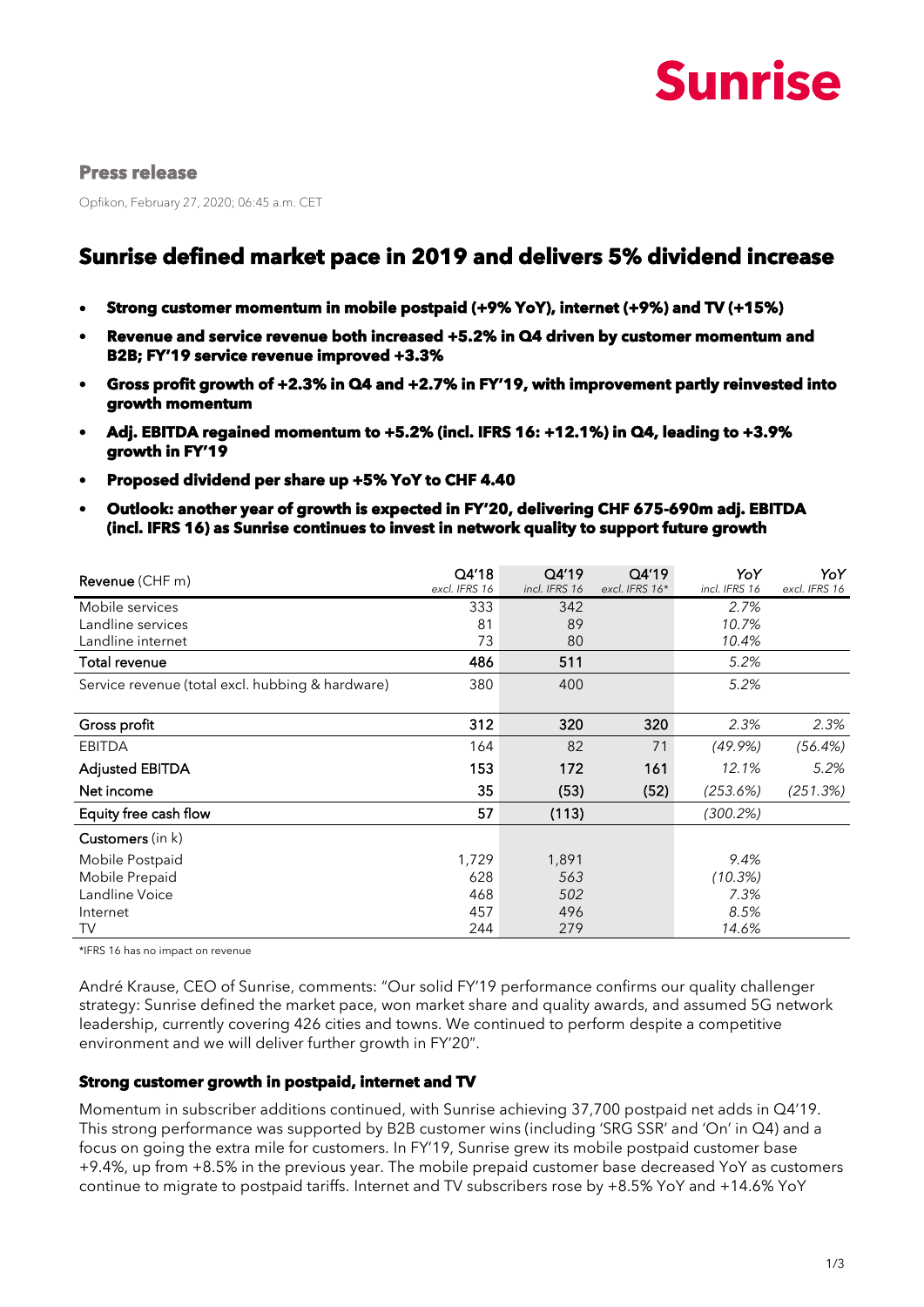

#### **Press release**

Opfikon, February 27, 2020; 06:45 a.m. CET

# **Sunrise defined market pace in 2019 and delivers 5% dividend increase**

- **Strong customer momentum in mobile postpaid (+9% YoY), internet (+9%) and TV (+15%)**
- **Revenue and service revenue both increased +5.2% in Q4 driven by customer momentum and B2B; FY'19 service revenue improved +3.3%**
- **Gross profit growth of +2.3% in Q4 and +2.7% in FY'19, with improvement partly reinvested into growth momentum**
- **Adj. EBITDA regained momentum to +5.2% (incl. IFRS 16: +12.1%) in Q4, leading to +3.9% growth in FY'19**
- **Proposed dividend per share up +5% YoY to CHF 4.40**
- **Outlook: another year of growth is expected in FY'20, delivering CHF 675-690m adj. EBITDA (incl. IFRS 16) as Sunrise continues to invest in network quality to support future growth**

| <b>Revenue</b> (CHF m)                           | Q4'18<br>excl. IFRS 16 | Q4'19<br>incl. IFRS 16 | Q4'19<br>excl. IFRS 16* | YoY<br>incl. IFRS 16 | YoY<br>excl. IFRS 16 |
|--------------------------------------------------|------------------------|------------------------|-------------------------|----------------------|----------------------|
| Mobile services                                  | 333                    | 342                    |                         | 2.7%                 |                      |
| Landline services                                | 81                     | 89                     |                         | 10.7%                |                      |
| Landline internet                                | 73                     | 80                     |                         | 10.4%                |                      |
| Total revenue                                    | 486                    | 511                    |                         | 5.2%                 |                      |
| Service revenue (total excl. hubbing & hardware) | 380                    | 400                    |                         | 5.2%                 |                      |
|                                                  |                        |                        |                         |                      |                      |
| Gross profit                                     | 312                    | 320                    | 320                     | 2.3%                 | 2.3%                 |
| <b>EBITDA</b>                                    | 164                    | 82                     | 71                      | $(49.9\%)$           | (56.4%)              |
| <b>Adjusted EBITDA</b>                           | 153                    | 172                    | 161                     | 12.1%                | 5.2%                 |
| Net income                                       | 35                     | (53)                   | (52)                    | (253.6%)             | (251.3%)             |
| Equity free cash flow                            | 57                     | (113)                  |                         | $(300.2\%)$          |                      |
| <b>Customers</b> (in k)                          |                        |                        |                         |                      |                      |
| Mobile Postpaid                                  | 1,729                  | 1,891                  |                         | 9.4%                 |                      |
| Mobile Prepaid                                   | 628                    | 563                    |                         | (10.3%)              |                      |
| Landline Voice                                   | 468                    | 502                    |                         | 7.3%                 |                      |
| Internet                                         | 457                    | 496                    |                         | 8.5%                 |                      |
| TV                                               | 244                    | 279                    |                         | 14.6%                |                      |

\*IFRS 16 has no impact on revenue

André Krause, CEO of Sunrise, comments: "Our solid FY'19 performance confirms our quality challenger strategy: Sunrise defined the market pace, won market share and quality awards, and assumed 5G network leadership, currently covering 426 cities and towns. We continued to perform despite a competitive environment and we will deliver further growth in FY'20".

#### **Strong customer growth in postpaid, internet and TV**

Momentum in subscriber additions continued, with Sunrise achieving 37,700 postpaid net adds in Q4'19. This strong performance was supported by B2B customer wins (including 'SRG SSR' and 'On' in Q4) and a focus on going the extra mile for customers. In FY'19, Sunrise grew its mobile postpaid customer base +9.4%, up from +8.5% in the previous year. The mobile prepaid customer base decreased YoY as customers continue to migrate to postpaid tariffs. Internet and TV subscribers rose by +8.5% YoY and +14.6% YoY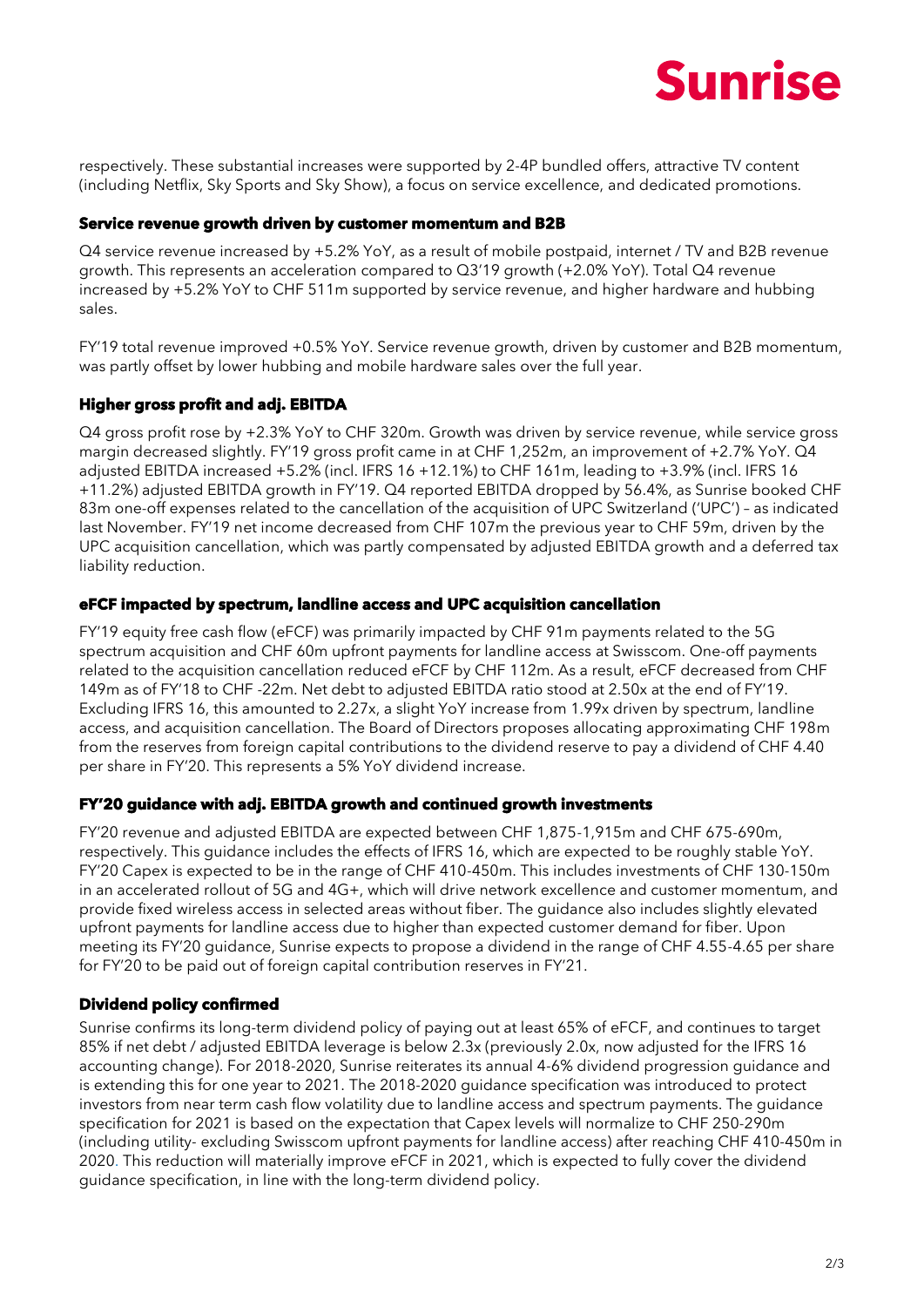

respectively. These substantial increases were supported by 2-4P bundled offers, attractive TV content (including Netflix, Sky Sports and Sky Show), a focus on service excellence, and dedicated promotions.

#### **Service revenue growth driven by customer momentum and B2B**

Q4 service revenue increased by +5.2% YoY, as a result of mobile postpaid, internet / TV and B2B revenue growth. This represents an acceleration compared to Q3'19 growth (+2.0% YoY). Total Q4 revenue increased by +5.2% YoY to CHF 511m supported by service revenue, and higher hardware and hubbing sales.

FY'19 total revenue improved +0.5% YoY. Service revenue growth, driven by customer and B2B momentum, was partly offset by lower hubbing and mobile hardware sales over the full year.

## **Higher gross profit and adj. EBITDA**

Q4 gross profit rose by +2.3% YoY to CHF 320m. Growth was driven by service revenue, while service gross margin decreased slightly. FY'19 gross profit came in at CHF 1,252m, an improvement of +2.7% YoY. Q4 adjusted EBITDA increased +5.2% (incl. IFRS 16 +12.1%) to CHF 161m, leading to +3.9% (incl. IFRS 16 +11.2%) adjusted EBITDA growth in FY'19. Q4 reported EBITDA dropped by 56.4%, as Sunrise booked CHF 83m one-off expenses related to the cancellation of the acquisition of UPC Switzerland ('UPC') – as indicated last November. FY'19 net income decreased from CHF 107m the previous year to CHF 59m, driven by the UPC acquisition cancellation, which was partly compensated by adjusted EBITDA growth and a deferred tax liability reduction.

#### **eFCF impacted by spectrum, landline access and UPC acquisition cancellation**

FY'19 equity free cash flow (eFCF) was primarily impacted by CHF 91m payments related to the 5G spectrum acquisition and CHF 60m upfront payments for landline access at Swisscom. One-off payments related to the acquisition cancellation reduced eFCF by CHF 112m. As a result, eFCF decreased from CHF 149m as of FY'18 to CHF -22m. Net debt to adjusted EBITDA ratio stood at 2.50x at the end of FY'19. Excluding IFRS 16, this amounted to 2.27x, a slight YoY increase from 1.99x driven by spectrum, landline access, and acquisition cancellation. The Board of Directors proposes allocating approximating CHF 198m from the reserves from foreign capital contributions to the dividend reserve to pay a dividend of CHF 4.40 per share in FY'20. This represents a 5% YoY dividend increase.

#### **FY'20 guidance with adj. EBITDA growth and continued growth investments**

FY'20 revenue and adjusted EBITDA are expected between CHF 1,875-1,915m and CHF 675-690m, respectively. This guidance includes the effects of IFRS 16, which are expected to be roughly stable YoY. FY'20 Capex is expected to be in the range of CHF 410-450m. This includes investments of CHF 130-150m in an accelerated rollout of 5G and 4G+, which will drive network excellence and customer momentum, and provide fixed wireless access in selected areas without fiber. The guidance also includes slightly elevated upfront payments for landline access due to higher than expected customer demand for fiber. Upon meeting its FY'20 guidance, Sunrise expects to propose a dividend in the range of CHF 4.55-4.65 per share for FY'20 to be paid out of foreign capital contribution reserves in FY'21.

## **Dividend policy confirmed**

Sunrise confirms its long-term dividend policy of paying out at least 65% of eFCF, and continues to target 85% if net debt / adjusted EBITDA leverage is below 2.3x (previously 2.0x, now adjusted for the IFRS 16 accounting change). For 2018-2020, Sunrise reiterates its annual 4-6% dividend progression guidance and is extending this for one year to 2021. The 2018-2020 guidance specification was introduced to protect investors from near term cash flow volatility due to landline access and spectrum payments. The guidance specification for 2021 is based on the expectation that Capex levels will normalize to CHF 250-290m (including utility- excluding Swisscom upfront payments for landline access) after reaching CHF 410-450m in 2020. This reduction will materially improve eFCF in 2021, which is expected to fully cover the dividend guidance specification, in line with the long-term dividend policy.